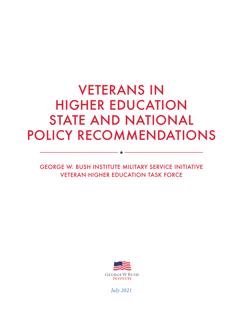# VETERANS IN HIGHER EDUCATION STATE AND NATIONAL POLICY RECOMMENDATIONS

GEORGE W. BUSH INSTITUTE MILITARY SERVICE INITIATIVE VETERAN HIGHER EDUCATION TASK FORCE

- ★ -



*July 2021*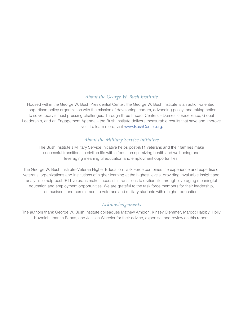#### *About the George W. Bush Institute*

Housed within the George W. Bush Presidential Center, the George W. Bush Institute is an action-oriented, nonpartisan policy organization with the mission of developing leaders, advancing policy, and taking action to solve today's most pressing challenges. Through three Impact Centers – Domestic Excellence, Global Leadership, and an Engagement Agenda – the Bush Institute delivers measurable results that save and improve lives. To learn more, visit [www.BushCenter.org.](http://www.BushCenter.org)

#### *About the Military Service Initiative*

The Bush Institute's Military Service Initiative helps post-9/11 veterans and their families make successful transitions to civilian life with a focus on optimizing health and well-being and leveraging meaningful education and employment opportunities.

The George W. Bush Institute–Veteran Higher Education Task Force combines the experience and expertise of veterans' organizations and institutions of higher learning at the highest levels, providing invaluable insight and analysis to help post-9/11 veterans make successful transitions to civilian life through leveraging meaningful education and employment opportunities. We are grateful to the task force members for their leadership, enthusiasm, and commitment to veterans and military students within higher education.

#### *Acknowledgements*

The authors thank George W. Bush Institute colleagues Mathew Amidon, Kinsey Clemmer, Margot Habiby, Holly Kuzmich, Ioanna Papas, and Jessica Wheeler for their advice, expertise, and review on this report.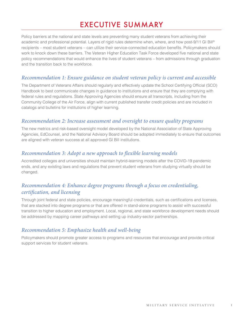# EXECUTIVE SUMMARY

Policy barriers at the national and state levels are preventing many student veterans from achieving their academic and professional potential. Layers of rigid rules determine when, where, and how post-9/11 GI Bill® recipients – most student veterans – can utilize their service-connected education benefits. Policymakers should work to knock down these barriers. The Veteran Higher Education Task Force developed five national and state policy recommendations that would enhance the lives of student veterans – from admissions through graduation and the transition back to the workforce.

#### *Recommendation 1: Ensure guidance on student veteran policy is current and accessible*

The Department of Veterans Affairs should regularly and effectively update the School Certifying Official (SCO) Handbook to best communicate changes in guidance to institutions and ensure that they are complying with federal rules and regulations. State Approving Agencies should ensure all transcripts, including from the Community College of the Air Force, align with current published transfer credit policies and are included in catalogs and bulletins for institutions of higher learning.

#### *Recommendation 2: Increase assessment and oversight to ensure quality programs*

The new metrics and risk-based oversight model developed by the National Association of State Approving Agencies, EdCounsel, and the National Advisory Board should be adopted immediately to ensure that outcomes are aligned with veteran success at all approved GI Bill institutions.

#### *Recommendation 3: Adopt a new approach to flexible learning models*

Accredited colleges and universities should maintain hybrid-learning models after the COVID-19 pandemic ends, and any existing laws and regulations that prevent student veterans from studying virtually should be changed.

#### *Recommendation 4: Enhance degree programs through a focus on credentialing, certification, and licensing*

Through joint federal and state policies, encourage meaningful credentials, such as certifications and licenses, that are stacked into degree programs or that are offered in stand-alone programs to assist with successful transition to higher education and employment. Local, regional, and state workforce development needs should be addressed by mapping career pathways and setting up industry-sector partnerships.

#### *Recommendation 5: Emphasize health and well-being*

Policymakers should promote greater access to programs and resources that encourage and provide critical support services for student veterans.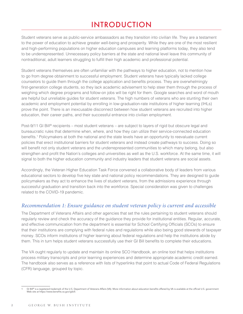# INTRODUCTION

Student veterans serve as public-service ambassadors as they transition into civilian life. They are a testament to the power of education to achieve greater well-being and prosperity. While they are one of the most resilient and high-performing populations on higher education campuses and learning platforms today, they also tend to be underrepresented. Unnecessary policy barriers at the state and national level leave this community of nontraditional, adult learners struggling to fulfill their high academic and professional potential.

Student veterans themselves are often unfamiliar with the pathways to higher education, not to mention how to go from degree obtainment to successful employment. Student veterans have typically lacked college counselors to guide them through the college application and benefits process. They are overwhelmingly first-generation college students, so they lack academic advisement to help steer them through the process of weighing which degree programs and follow-on jobs will be right for them. Google searches and word of mouth are helpful but unreliable guides for student veterans. The high numbers of veterans who are stunting their own academic and employment potential by enrolling in low-graduation-rate institutions of higher learning (IHLs) prove the point. There is an inexcusable disconnect between how student veterans are recruited into higher education, their career paths, and their successful entrance into civilian employment.

Post-9/11 GI Bill® recipients – most student veterans – are subject to layers of rigid but obscure legal and bureaucratic rules that determine when, where, and how they can utilize their service-connected education benefits.<sup>1</sup> Policymakers at both the national and the state levels have an opportunity to reevaluate current policies that erect institutional barriers for student veterans and instead create pathways to success. Doing so will benefit not only student veterans and the underrepresented communities to which many belong, but also strengthen and profit the Nation's colleges and universities as well as the U.S. workforce. At the same time, it will signal to both the higher education community and industry leaders that student veterans are social assets.

Accordingly, the Veteran Higher Education Task Force convened a collaborative body of leaders from various educational sectors to develop five key state and national policy recommendations. They are designed to guide policymakers as they act to enhance the lives of student veterans, from the admissions experience through successful graduation and transition back into the workforce. Special consideration was given to challenges related to the COVID-19 pandemic.

#### *Recommendation 1: Ensure guidance on student veteran policy is current and accessible*

The Department of Veterans Affairs and other agencies that set the rules pertaining to student veterans should regularly review and check the accuracy of the guidance they provide for institutional entities. Regular, accurate, and effective communication from the department is essential for School Certifying Officials (SCOs) to ensure that their institutions are complying with federal rules and regulations while also being good stewards of taxpayer money. SCOs inform institutions of higher learning about federal regulations and help the institutions abide by them. This in turn helps student veterans successfully use their GI Bill benefits to complete their educations.

The VA ought regularly to update and maintain its online SCO Handbook, an online tool that helps institutions process military transcripts and prior learning experiences and determine appropriate academic credit earned. The handbook also serves as a reference with lists of hyperlinks that point to actual Code of Federal Regulations (CFR) language, grouped by topic.

GI Bill® is a registered trademark of the U.S. Department of Veterans Affairs (VA). More information about education benefits offered by VA is available at the official U.S. government Web site at https://www.benefits.va.gov/gibill.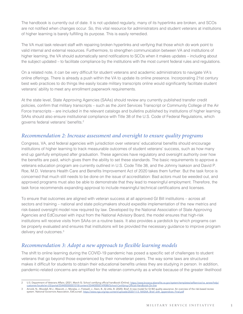The handbook is currently out of date. It is not updated regularly, many of its hyperlinks are broken, and SCOs are not notified when changes occur. So, this vital resource for administrators and student veterans at institutions of higher learning is barely fulfilling its purpose. This is easily remedied.

The VA must task relevant staff with repairing broken hyperlinks and verifying that those which do work point to valid internal and external resources. Furthermore, to strengthen communication between VA and institutions of higher learning, the VA should automatically send notifications to SCOs when it makes updates – including about the subject updated – to facilitate compliance by the institutions with the most current federal rules and regulations.

On a related note, it can be very difficult for student veterans and academic administrators to navigate VA's online offerings. There is already a push within the VA to update its online presence. Incorporating 21st century best web practices to do things like easily locate military transcripts online would significantly facilitate student veterans' ability to meet any enrollment paperwork requirements.

At the state level, State Approving Agencies (SAAs) should review any currently published transfer credit policies, confirm that military transcripts – such as the Joint Services Transcript or Community College of the Air Force transcripts – are included in the relevant catalogs and bulletins published by institutions of higher learning. SAAs should also ensure institutional compliance with Title 38 of the U.S. Code of Federal Regulations, which governs federal veterans' benefits.<sup>2</sup>

#### *Recommendation 2: Increase assessment and oversight to ensure quality programs*

Congress, VA, and federal agencies with jurisdiction over veterans' educational benefits should encourage institutions of higher learning to track measurable outcomes of student veterans' success, such as how many end up gainfully employed after graduation. These agencies have regulatory and oversight authority over how the benefits are paid, which gives them the ability to set these standards. The basic requirements to approve a veterans education program are currently outlined in U.S. Code Title 38, and the Johnny Isakson and David P. Roe, M.D. Veterans Health Care and Benefits Improvement Act of 2020 takes them further. But the task force is concerned that much still needs to be done on the issue of accreditation: Bad actors must be weeded out, and approved programs must also be able to demonstrate that they lead to meaningful employment. Therefore, the task force recommends expanding approval to include meaningful technical certifications and licenses.

To ensure that outcomes are aligned with veteran success at all approved GI Bill institutions – across all sectors and training – national and state policymakers should expedite implementation of the new metrics and risk-based oversight model now required by law. Developed by the National Association of State Approving Agencies and EdCounsel with input from the National Advisory Board, the model ensures that high-risk institutions will receive visits from SAAs on a routine basis. It also provides a yardstick by which programs can be properly evaluated and ensures that institutions will be provided the necessary guidance to improve program delivery and outcomes.<sup>3</sup>

#### *Recommendation 3: Adopt a new approach to flexible learning models*

The shift to online learning during the COVID-19 pandemic has posed a specific set of challenges to student veterans that go beyond those experienced by their nonveteran peers. The way some laws are structured makes it difficult for students to obtain their educational benefits unless they are studying in person. In addition, pandemic-related concerns are amplified for the veteran community as a whole because of the greater likelihood

U.S. Department of Veterans Affairs. (2021, March 5). School certifying official handbook (Online). [https://www.knowva.ebenefits.va.gov/system/templates/selfservice/va\\_ssnew/help/](https://www.knowva.ebenefits.va.gov/system/templates/selfservice/va_ssnew/help/customer/locale/en-US/portal/554400000001018/content/554400000149088/School-Certifying-Official-Handbook-On-line) [customer/locale/en-US/portal/554400000001018/content/554400000149088/School-Certifying-Official-Handbook-On-line](https://www.knowva.ebenefits.va.gov/system/templates/selfservice/va_ssnew/help/customer/locale/en-US/portal/554400000001018/content/554400000149088/School-Certifying-Official-Handbook-On-line)

Arnold, N., Woodall, M.J., Wescott, J., Morales, J., Fretwell, J., Stein, B., & Little, B. (2020). Brief: A new model for GI Bill quality assurance: An overview of the risk-based review system. National Governors Association, EdCounsel. [https://www.nga.org/wp-content/uploads/2020/11/3\\_NASAA\\_Brief\\_with\\_appendices\\_Final.pdf](https://www.nga.org/wp-content/uploads/2020/11/3_NASAA_Brief_with_appendices_Final.pdf)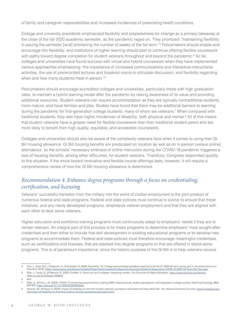of family and caregiver responsibilities and increased incidences of preexisting health conditions.

College and university presidents emphasized flexibility and preparedness for change as a primary takeaway at the close of the fall 2020 academic semester, as the pandemic raged on. They prioritized "maintaining flexibility in pacing the semester [and] shortening the number of weeks of the fall term."4 Policymakers should enable and encourage this flexibility, and institutions of higher learning should plan to continue offering flexible coursework with paths toward degree completion for student veterans throughout and beyond the pandemic.<sup>5</sup> So far, colleges and universities have found success with virtual and hybrid coursework when they have implemented various approaches emphasizing "the importance of increased communications and interactive instructional activities, the use of prerecorded lectures and breakout rooms to stimulate discussion, and flexibility regarding when and how many students meet in person."<sup>6</sup>

Policymakers should encourage accredited colleges and universities, particularly those with high graduation rates, to maintain a hybrid learning model after the pandemic by raising awareness of its value and providing additional resources. Student veterans can require accommodation as they are typically nontraditional students, more mature, and have families and jobs. Studies have found that there may be additional barriers to learning during the pandemic for first-generation college students, many of whom are veterans.<sup>7</sup> When compared with traditional students, they also have higher incidences of disability, both physical and mental.<sup>8</sup> All of this means that student veterans have a greater need for flexible coursework than their traditional student peers and are more likely to benefit from high quality, equitable, and accessible coursework.

Colleges and universities should also be aware of the complexity veterans face when it comes to using their GI Bill housing allowance. GI Bill housing benefits are predicated on location as well as on in-person (versus online) attendance, so the schools' necessary embrace of online instruction during the COVID-19 pandemic triggered a loss of housing benefits, among other difficulties, for student veterans. Thankfully, Congress responded quickly to this situation. If the move toward innovative and flexible course offerings lasts, however, it will require a comprehensive review of how the GI Bill housing allowance is determined.

#### *Recommendation 4. Enhance degree programs through a focus on credentialing, certification, and licensing*

Veterans' successful transition from the military into the world of civilian employment is the joint product of numerous federal and state programs. Federal and state policies must continue to evolve to ensure that these initiatives, and any newly developed programs, emphasize veteran employment and that they are aligned with each other to best serve veterans.

Higher education and workforce training programs must continuously adapt to employers' needs if they are to remain relevant. An integral part of this process is for these programs to determine employers' most sought-after credentials and then either to include that skill development in existing educational programs or to develop new programs to accommodate them. Federal and state policies must therefore encourage meaningful credentials, such as certifications and licenses, that are stacked into degree programs or that are offered in stand-alone programs. This is of paramount importance, since the historic purpose of the GI Bill is to help veterans receive

- 5 Elias, J., Troop, D., & Wescott, D. (2020, October 1). Here's our list of colleges' reopening models. The Chronicle of Higher Education. [https://www.chronicle.com/article/](https://www.chronicle.com/article/Here-s-a-List-of-Colleges-/248626)
- [Here-s-a-List-of-Colleges-/248626](https://www.chronicle.com/article/Here-s-a-List-of-Colleges-/248626) 6 Ibid.

<sup>4</sup> Turk, J., Soler, M.C., Chessman, H., & Gonzalez, A. (2020, December 10). College and university presidents respond to Covid-19: 2020 fall term survey, part II. American Council on Education (ACE).<https://www.acenet.edu/Research-Insights/Pages/Senior-Leaders/College-and-University-Presidents-Respond-to-COVID-19-2020-Fall-Term-Part-Two.aspx>

Gillis, A., & Krull, L. M. (2020). COVID-19 remote learning transition in spring 2020: Class structures, student perceptions, and inequality in college courses. Teaching Sociology, 48(4), 283-299. <https://doi.org/10.1177/0092055X20954263>

Ochinko, W., & Payea, K, (2020). Impact of disability on first-time student veterans' persistence and attainment (Issue Brief No. 14). Veterans Education Success. [https://vetsedsuccess.](https://vetsedsuccess.org/impact-of-disability-on-first-time-student-veterans-persistence-and-attainment/) [org/impact-of-disability-on-first-time-student-veterans-persistence-and-attainment/](https://vetsedsuccess.org/impact-of-disability-on-first-time-student-veterans-persistence-and-attainment/)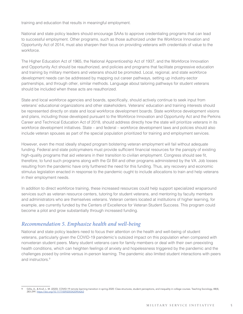training and education that results in meaningful employment.

National and state policy leaders should encourage SAAs to approve credentialing programs that can lead to successful employment. Other programs, such as those authorized under the Workforce Innovation and Opportunity Act of 2014, must also sharpen their focus on providing veterans with credentials of value to the workforce.

The Higher Education Act of 1965, the National Apprenticeship Act of 1937, and the Workforce Innovation and Opportunity Act should be reauthorized, and policies and programs that facilitate progressive education and training by military members and veterans should be promoted. Local, regional, and state workforce development needs can be addressed by mapping out career pathways, setting up industry-sector partnerships, and through other, similar methods. Language about tailoring pathways for student veterans should be included when these acts are reauthorized.

State and local workforce agencies and boards, specifically, should actively continue to seek input from veterans' educational organizations and other stakeholders. Veterans' education and training interests should be represented directly on state and local workforce development boards. State workforce development visions and plans, including those developed pursuant to the Workforce Innovation and Opportunity Act and the Perkins Career and Technical Education Act of 2018, should address directly how the state will prioritize veterans in its workforce development initiatives. State – and federal – workforce development laws and policies should also include veteran spouses as part of the special population prioritized for training and employment services.

However, even the most ideally shaped program bolstering veteran employment will fail without adequate funding. Federal and state policymakers must provide sufficient financial resources for the panoply of existing high-quality programs that aid veterans in their transition to civilian employment. Congress should see fit, therefore, to fund such programs along with the GI Bill and other programs administered by the VA. Job losses resulting from the pandemic have only furthered the need for this funding. Thus, any recovery and economic stimulus legislation enacted in response to the pandemic ought to include allocations to train and help veterans in their employment needs.

In addition to direct workforce training, these increased resources could help support specialized wraparound services such as veteran resource centers, tutoring for student veterans, and mentoring by faculty members and administrators who are themselves veterans. Veteran centers located at institutions of higher learning, for example, are currently funded by the Centers of Excellence for Veteran Student Success. This program could become a pilot and grow substantially through increased funding.

#### *Recommendation 5. Emphasize health and well-being*

National and state policy leaders need to focus their attention on the health and well-being of student veterans, particularly given the COVID-19 pandemic's outsized impact on this population when compared with nonveteran student peers. Many student veterans care for family members or deal with their own preexisting health conditions, which can heighten feelings of anxiety and hopelessness triggered by the pandemic and the challenges posed by online versus in-person learning. The pandemic also limited student interactions with peers and instructors.<sup>9</sup>

Gillis, A., & Krull, L. M. (2020). COVID-19 remote learning transition in spring 2020: Class structures, student perceptions, and inequality in college courses. Teaching Sociology, 48(4), 283-299. <https://doi.org/10.1177/0092055X20954263>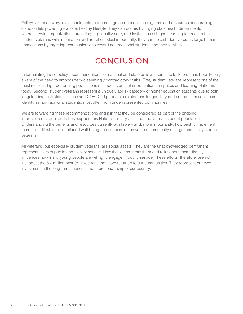Policymakers at every level should help to promote greater access to programs and resources encouraging – and outlets providing – a safe, healthy lifestyle. They can do this by urging state health departments, veteran service organizations providing high quality care, and institutions of higher learning to reach out to student veterans with information and activities. Most importantly, they can help student veterans forge human connections by targeting communications toward nontraditional students and their families.

## **CONCLUSION**

In formulating these policy recommendations for national and state policymakers, the task force has been keenly aware of the need to emphasize two seemingly contradictory truths: First, student veterans represent one of the most resilient, high performing populations of students on higher education campuses and learning platforms today. Second, student veterans represent a uniquely at-risk category of higher education students due to both longstanding institutional issues and COVID-19 pandemic-related challenges. Layered on top of these is their identity as nontraditional students, most often from underrepresented communities.

We are forwarding these recommendations and ask that they be considered as part of the ongoing improvements required to best support this Nation's military-affiliated and veteran student population. Understanding the benefits and resources currently available – and, more importantly, how best to implement them – is critical to the continued well-being and success of the veteran community at large, especially student veterans.

All veterans, but especially student veterans, are social assets. They are the unacknowledged permanent representatives of public and military service. How the Nation treats them and talks about them directly influences how many young people are willing to engage in public service. These efforts, therefore, are not just about the 5.2 million post-9/11 veterans that have returned to our communities. They represent our own investment in the long-term success and future leadership of our country.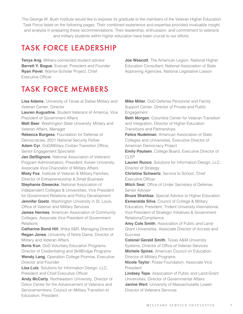The George W. Bush Institute would like to express its gratitude to the members of the Veteran Higher Education Task Force listed on the following pages. Their combined experience and expertise provided invaluable insight and analysis in preparing these recommendations. Their leadership, enthusiasm, and commitment to veterans and military students within higher education have been crucial to our efforts.

# TASK FORCE LEADERSHIP

**Tanya Ang**, Military-connected student advisor **Barrett Y. Bogue, Evocati, President and Founder Ryan Pavel**, Warrior-Scholar Project, Chief Executive Officer

# TASK FORCE MEMBERS

**Lisa Adams**, University of Texas at Dallas Military and Veteran Center, Director **Lauren Augustine**, Student Veterans of America, Vice President of Government Affairs **Matt Beer**, Washington State University Military and Veteran Affairs, Manager **Rebecca Burgess**, Foundation for Defense of Democracies, 2021 National Security Fellow **Adam Cyr**, DoD/Military Civilian Transition Office, Senior Engagement Specialist **Jan DelSignore**, National Association of Veterans' Program Administrators, President; Keiser University, Associate Vice Chancellor of Military Affairs **Misty Fox**, Institute of Veteran & Military Families, Director of Entrepreneurship & Small Business **Stephanie Giesecke**, National Association of Independent Colleges & Universities, Vice President for Government Relations and Policy Development **Jennifer Goetz**, Washington University in St. Louis, Office of Veteran and Military Services **James Hermes**, American Association of Community Colleges, Associate Vice President of Government **Relations Catharine Bond Hill**, Ithika S&R, Managing Director **Regan Jones**, University of Notre Dame, Director of Military and Veteran Affairs **Boris Kun**, DoD Voluntary Education Programs, Director of Credentialing and SkillBridge Programs **Wendy Lang**, Operation College Promise, Executive Director and Founder **Lisa Lutz**, Solutions for Information Design, LLC, President and Chief Executive Officer

**Andy McCarty**, Northeastern University, Director of Dolce Center for the Advancement of Veterans and Servicemembers; Council on Military Transition to Education, President

**Joe Wescott**, The American Legion, National Higher Education Consultant; National Association of State Approving Agencies, National Legislative Liaison

**Mike Miller**, DoD Defense Personnel and Family Support Center, Director of Private and Public Engagement

**Beth Morgan**, Columbia Center for Veteran Transition and Integration, Director of Higher Education Transitions and Partnerships

**Felice Nudelman**, American Association of State Colleges and Universities, Executive Director of American Democracy Project

**Emily Paulsen**, College Board, Executive Director of CLEP

**Lauren Runco**, Solutions for Information Design, LLC, Director of Strategy

**Christine Schwartz**, Service to School, Chief Executive Officer

**Mitch Seal**, Office of Under Secretary of Defense, Senior Advisor

**Bruce Shahbaz**, Special Advisor to Higher Education **Esmeralda Silva**, Council of College & Military Educators, President; Trident University International, Vice President of Strategic Initiatives & Government Relations/Compliance

**Amy Cole Smith**, Association of Public and Land-Grant Universities, Associate Director of Access and **Success** 

**Colonel Gerald Smith**, Texas A&M University Systems, Director of Office of Veteran Services **Michele Spires**, American Council on Education, Director of Military Programs

**Nicole Taylor**, Posse Foundation, Associate Vice President

**Lindsey Tepe**, Association of Public and Land-Grant Universities, Director of Governmental Affairs **Janine Wert**, University of Massachusetts Lowell, Director of Veterans Services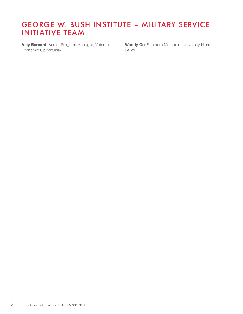### GEORGE W. BUSH INSTITUTE – MILITARY SERVICE INITIATIVE TEAM

**Amy Bernard**, Senior Program Manager, Veteran Economic Opportunity

**Woody Go**, Southern Methodist University Niemi Fellow